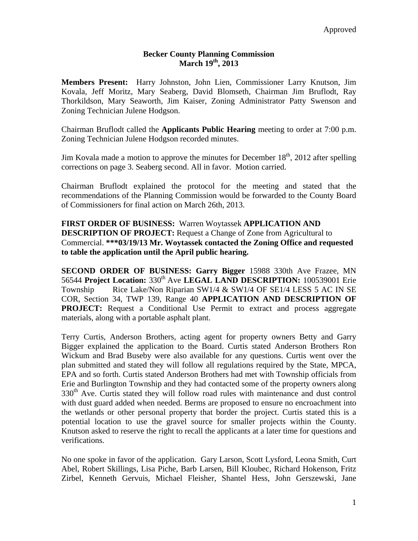## **Becker County Planning Commission March 19th, 2013**

**Members Present:** Harry Johnston, John Lien, Commissioner Larry Knutson, Jim Kovala, Jeff Moritz, Mary Seaberg, David Blomseth, Chairman Jim Bruflodt, Ray Thorkildson, Mary Seaworth, Jim Kaiser, Zoning Administrator Patty Swenson and Zoning Technician Julene Hodgson.

Chairman Bruflodt called the **Applicants Public Hearing** meeting to order at 7:00 p.m. Zoning Technician Julene Hodgson recorded minutes.

Jim Kovala made a motion to approve the minutes for December  $18<sup>th</sup>$ , 2012 after spelling corrections on page 3. Seaberg second. All in favor. Motion carried.

Chairman Bruflodt explained the protocol for the meeting and stated that the recommendations of the Planning Commission would be forwarded to the County Board of Commissioners for final action on March 26th, 2013.

**FIRST ORDER OF BUSINESS:** Warren Woytassek **APPLICATION AND DESCRIPTION OF PROJECT:** Request a Change of Zone from Agricultural to Commercial. **\*\*\*03/19/13 Mr. Woytassek contacted the Zoning Office and requested to table the application until the April public hearing.** 

**SECOND ORDER OF BUSINESS: Garry Bigger** 15988 330th Ave Frazee, MN 56544 **Project Location:** 330<sup>th</sup> Ave LEGAL LAND DESCRIPTION: 100539001 Erie Township Rice Lake/Non Riparian  $SW1/4 \& SW1/4$  OF SE1/4 LESS 5 AC IN SE COR, Section 34, TWP 139, Range 40 **APPLICATION AND DESCRIPTION OF PROJECT:** Request a Conditional Use Permit to extract and process aggregate materials, along with a portable asphalt plant.

Terry Curtis, Anderson Brothers, acting agent for property owners Betty and Garry Bigger explained the application to the Board. Curtis stated Anderson Brothers Ron Wickum and Brad Buseby were also available for any questions. Curtis went over the plan submitted and stated they will follow all regulations required by the State, MPCA, EPA and so forth. Curtis stated Anderson Brothers had met with Township officials from Erie and Burlington Township and they had contacted some of the property owners along 330<sup>th</sup> Ave. Curtis stated they will follow road rules with maintenance and dust control with dust guard added when needed. Berms are proposed to ensure no encroachment into the wetlands or other personal property that border the project. Curtis stated this is a potential location to use the gravel source for smaller projects within the County. Knutson asked to reserve the right to recall the applicants at a later time for questions and verifications.

No one spoke in favor of the application. Gary Larson, Scott Lysford, Leona Smith, Curt Abel, Robert Skillings, Lisa Piche, Barb Larsen, Bill Kloubec, Richard Hokenson, Fritz Zirbel, Kenneth Gervuis, Michael Fleisher, Shantel Hess, John Gerszewski, Jane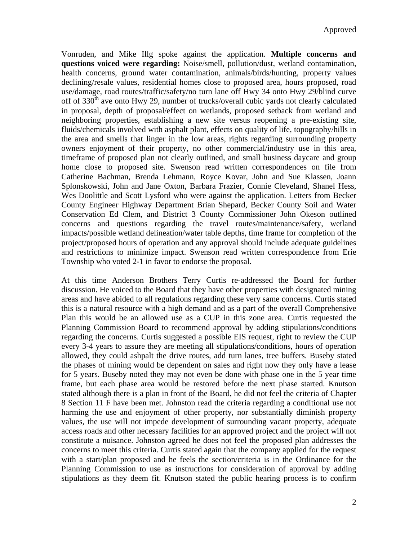Vonruden, and Mike Illg spoke against the application. **Multiple concerns and questions voiced were regarding:** Noise/smell, pollution/dust, wetland contamination, health concerns, ground water contamination, animals/birds/hunting, property values declining/resale values, residential homes close to proposed area, hours proposed, road use/damage, road routes/traffic/safety/no turn lane off Hwy 34 onto Hwy 29/blind curve off of 330<sup>th</sup> ave onto Hwy 29, number of trucks/overall cubic yards not clearly calculated in proposal, depth of proposal/effect on wetlands, proposed setback from wetland and neighboring properties, establishing a new site versus reopening a pre-existing site, fluids/chemicals involved with asphalt plant, effects on quality of life, topography/hills in the area and smells that linger in the low areas, rights regarding surrounding property owners enjoyment of their property, no other commercial/industry use in this area, timeframe of proposed plan not clearly outlined, and small business daycare and group home close to proposed site. Swenson read written correspondences on file from Catherine Bachman, Brenda Lehmann, Royce Kovar, John and Sue Klassen, Joann Splonskowski, John and Jane Oxton, Barbara Frazier, Connie Cleveland, Shanel Hess, Wes Doolittle and Scott Lysford who were against the application. Letters from Becker County Engineer Highway Department Brian Shepard, Becker County Soil and Water Conservation Ed Clem, and District 3 County Commissioner John Okeson outlined concerns and questions regarding the travel routes/maintenance/safety, wetland impacts/possible wetland delineation/water table depths, time frame for completion of the project/proposed hours of operation and any approval should include adequate guidelines and restrictions to minimize impact. Swenson read written correspondence from Erie Township who voted 2-1 in favor to endorse the proposal.

At this time Anderson Brothers Terry Curtis re-addressed the Board for further discussion. He voiced to the Board that they have other properties with designated mining areas and have abided to all regulations regarding these very same concerns. Curtis stated this is a natural resource with a high demand and as a part of the overall Comprehensive Plan this would be an allowed use as a CUP in this zone area. Curtis requested the Planning Commission Board to recommend approval by adding stipulations/conditions regarding the concerns. Curtis suggested a possible EIS request, right to review the CUP every 3-4 years to assure they are meeting all stipulations/conditions, hours of operation allowed, they could ashpalt the drive routes, add turn lanes, tree buffers. Buseby stated the phases of mining would be dependent on sales and right now they only have a lease for 5 years. Buseby noted they may not even be done with phase one in the 5 year time frame, but each phase area would be restored before the next phase started. Knutson stated although there is a plan in front of the Board, he did not feel the criteria of Chapter 8 Section 11 F have been met. Johnston read the criteria regarding a conditional use not harming the use and enjoyment of other property, nor substantially diminish property values, the use will not impede development of surrounding vacant property, adequate access roads and other necessary facilities for an approved project and the project will not constitute a nuisance. Johnston agreed he does not feel the proposed plan addresses the concerns to meet this criteria. Curtis stated again that the company applied for the request with a start/plan proposed and he feels the section/criteria is in the Ordinance for the Planning Commission to use as instructions for consideration of approval by adding stipulations as they deem fit. Knutson stated the public hearing process is to confirm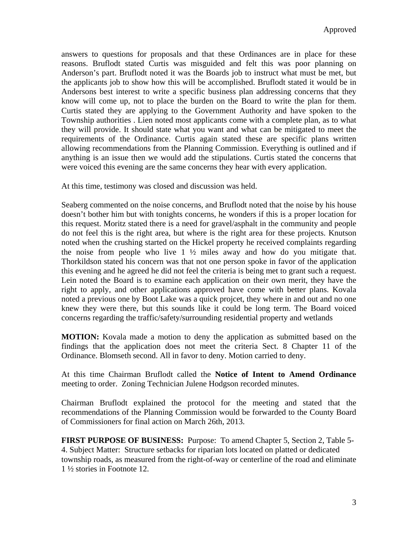answers to questions for proposals and that these Ordinances are in place for these reasons. Bruflodt stated Curtis was misguided and felt this was poor planning on Anderson's part. Bruflodt noted it was the Boards job to instruct what must be met, but the applicants job to show how this will be accomplished. Bruflodt stated it would be in Andersons best interest to write a specific business plan addressing concerns that they know will come up, not to place the burden on the Board to write the plan for them. Curtis stated they are applying to the Government Authority and have spoken to the Township authorities . Lien noted most applicants come with a complete plan, as to what they will provide. It should state what you want and what can be mitigated to meet the requirements of the Ordinance. Curtis again stated these are specific plans written allowing recommendations from the Planning Commission. Everything is outlined and if anything is an issue then we would add the stipulations. Curtis stated the concerns that were voiced this evening are the same concerns they hear with every application.

At this time, testimony was closed and discussion was held.

Seaberg commented on the noise concerns, and Bruflodt noted that the noise by his house doesn't bother him but with tonights concerns, he wonders if this is a proper location for this request. Moritz stated there is a need for gravel/asphalt in the community and people do not feel this is the right area, but where is the right area for these projects. Knutson noted when the crushing started on the Hickel property he received complaints regarding the noise from people who live  $1 \frac{1}{2}$  miles away and how do you mitigate that. Thorkildson stated his concern was that not one person spoke in favor of the application this evening and he agreed he did not feel the criteria is being met to grant such a request. Lein noted the Board is to examine each application on their own merit, they have the right to apply, and other applications approved have come with better plans. Kovala noted a previous one by Boot Lake was a quick projcet, they where in and out and no one knew they were there, but this sounds like it could be long term. The Board voiced concerns regarding the traffic/safety/surrounding residential property and wetlands

**MOTION:** Kovala made a motion to deny the application as submitted based on the findings that the application does not meet the criteria Sect. 8 Chapter 11 of the Ordinance. Blomseth second. All in favor to deny. Motion carried to deny.

At this time Chairman Bruflodt called the **Notice of Intent to Amend Ordinance**  meeting to order. Zoning Technician Julene Hodgson recorded minutes.

Chairman Bruflodt explained the protocol for the meeting and stated that the recommendations of the Planning Commission would be forwarded to the County Board of Commissioners for final action on March 26th, 2013.

**FIRST PURPOSE OF BUSINESS:** Purpose: To amend Chapter 5, Section 2, Table 5- 4. Subject Matter: Structure setbacks for riparian lots located on platted or dedicated township roads, as measured from the right-of-way or centerline of the road and eliminate 1 ½ stories in Footnote 12.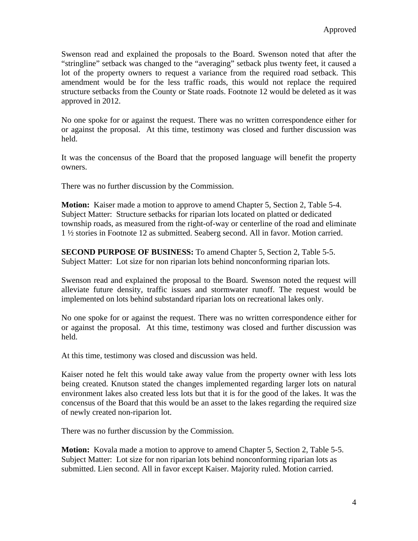Swenson read and explained the proposals to the Board. Swenson noted that after the "stringline" setback was changed to the "averaging" setback plus twenty feet, it caused a lot of the property owners to request a variance from the required road setback. This amendment would be for the less traffic roads, this would not replace the required structure setbacks from the County or State roads. Footnote 12 would be deleted as it was approved in 2012.

No one spoke for or against the request. There was no written correspondence either for or against the proposal. At this time, testimony was closed and further discussion was held.

It was the concensus of the Board that the proposed language will benefit the property owners.

There was no further discussion by the Commission.

**Motion:** Kaiser made a motion to approve to amend Chapter 5, Section 2, Table 5-4. Subject Matter: Structure setbacks for riparian lots located on platted or dedicated township roads, as measured from the right-of-way or centerline of the road and eliminate 1 ½ stories in Footnote 12 as submitted. Seaberg second. All in favor. Motion carried.

**SECOND PURPOSE OF BUSINESS:** To amend Chapter 5, Section 2, Table 5-5. Subject Matter: Lot size for non riparian lots behind nonconforming riparian lots.

Swenson read and explained the proposal to the Board. Swenson noted the request will alleviate future density, traffic issues and stormwater runoff. The request would be implemented on lots behind substandard riparian lots on recreational lakes only.

No one spoke for or against the request. There was no written correspondence either for or against the proposal. At this time, testimony was closed and further discussion was held.

At this time, testimony was closed and discussion was held.

Kaiser noted he felt this would take away value from the property owner with less lots being created. Knutson stated the changes implemented regarding larger lots on natural environment lakes also created less lots but that it is for the good of the lakes. It was the concensus of the Board that this would be an asset to the lakes regarding the required size of newly created non-riparion lot.

There was no further discussion by the Commission.

**Motion:** Kovala made a motion to approve to amend Chapter 5, Section 2, Table 5-5. Subject Matter: Lot size for non riparian lots behind nonconforming riparian lots as submitted. Lien second. All in favor except Kaiser. Majority ruled. Motion carried.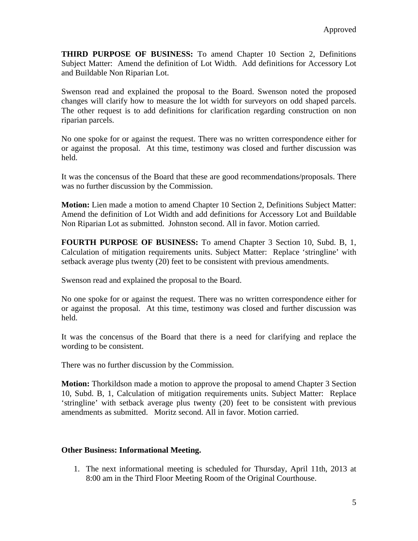**THIRD PURPOSE OF BUSINESS:** To amend Chapter 10 Section 2, Definitions Subject Matter: Amend the definition of Lot Width. Add definitions for Accessory Lot and Buildable Non Riparian Lot.

Swenson read and explained the proposal to the Board. Swenson noted the proposed changes will clarify how to measure the lot width for surveyors on odd shaped parcels. The other request is to add definitions for clarification regarding construction on non riparian parcels.

No one spoke for or against the request. There was no written correspondence either for or against the proposal. At this time, testimony was closed and further discussion was held.

It was the concensus of the Board that these are good recommendations/proposals. There was no further discussion by the Commission.

**Motion:** Lien made a motion to amend Chapter 10 Section 2, Definitions Subject Matter: Amend the definition of Lot Width and add definitions for Accessory Lot and Buildable Non Riparian Lot as submitted. Johnston second. All in favor. Motion carried.

**FOURTH PURPOSE OF BUSINESS:** To amend Chapter 3 Section 10, Subd. B, 1, Calculation of mitigation requirements units. Subject Matter: Replace 'stringline' with setback average plus twenty (20) feet to be consistent with previous amendments.

Swenson read and explained the proposal to the Board.

No one spoke for or against the request. There was no written correspondence either for or against the proposal. At this time, testimony was closed and further discussion was held.

It was the concensus of the Board that there is a need for clarifying and replace the wording to be consistent.

There was no further discussion by the Commission.

**Motion:** Thorkildson made a motion to approve the proposal to amend Chapter 3 Section 10, Subd. B, 1, Calculation of mitigation requirements units. Subject Matter: Replace 'stringline' with setback average plus twenty (20) feet to be consistent with previous amendments as submitted. Moritz second. All in favor. Motion carried.

## **Other Business: Informational Meeting.**

1. The next informational meeting is scheduled for Thursday, April 11th, 2013 at 8:00 am in the Third Floor Meeting Room of the Original Courthouse.